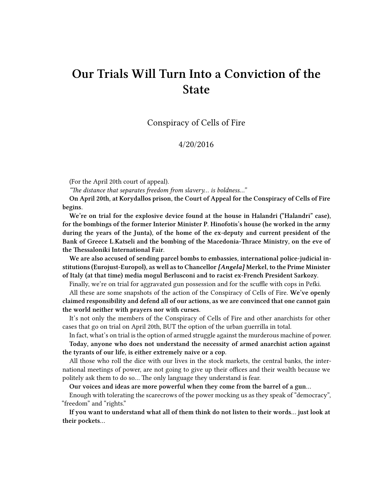## **Our Trials Will Turn Into a Conviction of the State**

Conspiracy of Cells of Fire

## 4/20/2016

(For the April 20th court of appeal).

*"The distance that separates freedom from slavery… is boldness…"*

**On April 20th, at Korydallos prison, the Court of Appeal for the Conspiracy of Cells of Fire begins.**

**We're on trial for the explosive device found at the house in Halandri ("Halandri" case), for the bombings of the former Interior Minister P. Hinofotis's house (he worked in the army during the years of the Junta), of the home of the ex-deputy and current president of the Bank of Greece L.Katseli and the bombing of the Macedonia-Thrace Ministry, on the eve of the Thessaloniki International Fair.**

**We are also accused of sending parcel bombs to embassies, international police-judicial institutions (Eurojust-Europol), as well as to Chancellor** *[Angela]* **Merkel, to the Prime Minister of Italy (at that time) media mogul Berlusconi and to racist ex-French President Sarkozy.**

Finally, we're on trial for aggravated gun possession and for the scuffle with cops in Pefki.

All these are some snapshots of the action of the Conspiracy of Cells of Fire. **We've openly claimed responsibility and defend all of our actions, as we are convinced that one cannot gain the world neither with prayers nor with curses.**

It's not only the members of the Conspiracy of Cells of Fire and other anarchists for other cases that go on trial on April 20th, BUT the option of the urban guerrilla in total.

In fact, what's on trial is the option of armed struggle against the murderous machine of power.

**Today, anyone who does not understand the necessity of armed anarchist action against the tyrants of our life, is either extremely naive or a cop.**

All those who roll the dice with our lives in the stock markets, the central banks, the international meetings of power, are not going to give up their offices and their wealth because we politely ask them to do so… The only language they understand is fear.

**Our voices and ideas are more powerful when they come from the barrel of a gun…**

Enough with tolerating the scarecrows of the power mocking us as they speak of "democracy", "freedom" and "rights."

**If you want to understand what all of them think do not listen to their words… just look at their pockets…**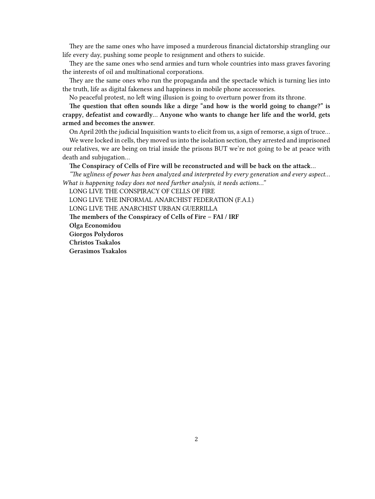They are the same ones who have imposed a murderous financial dictatorship strangling our life every day, pushing some people to resignment and others to suicide.

They are the same ones who send armies and turn whole countries into mass graves favoring the interests of oil and multinational corporations.

They are the same ones who run the propaganda and the spectacle which is turning lies into the truth, life as digital fakeness and happiness in mobile phone accessories.

No peaceful protest, no left wing illusion is going to overturn power from its throne.

**The question that often sounds like a dirge "and how is the world going to change?" is crappy, defeatist and cowardly… Anyone who wants to change her life and the world, gets armed and becomes the answer.**

On April 20th the judicial Inquisition wants to elicit from us, a sign of remorse, a sign of truce…

We were locked in cells, they moved us into the isolation section, they arrested and imprisoned our relatives, we are being on trial inside the prisons BUT we're not going to be at peace with death and subjugation…

## **The Conspiracy of Cells of Fire will be reconstructed and will be back on the attack…**

*"The ugliness of power has been analyzed and interpreted by every generation and every aspect… What is happening today does not need further analysis, it needs actions…"*

LONG LIVE THE CONSPIRACY OF CELLS OF FIRE

LONG LIVE THE INFORMAL ANARCHIST FEDERATION (F.A.I.)

LONG LIVE THE ANARCHIST URBAN GUERRILLA

**The members of the Conspiracy of Cells of Fire – FAI / IRF**

**Olga Economidou**

**Giorgos Polydoros**

**Christos Tsakalos**

**Gerasimos Tsakalos**